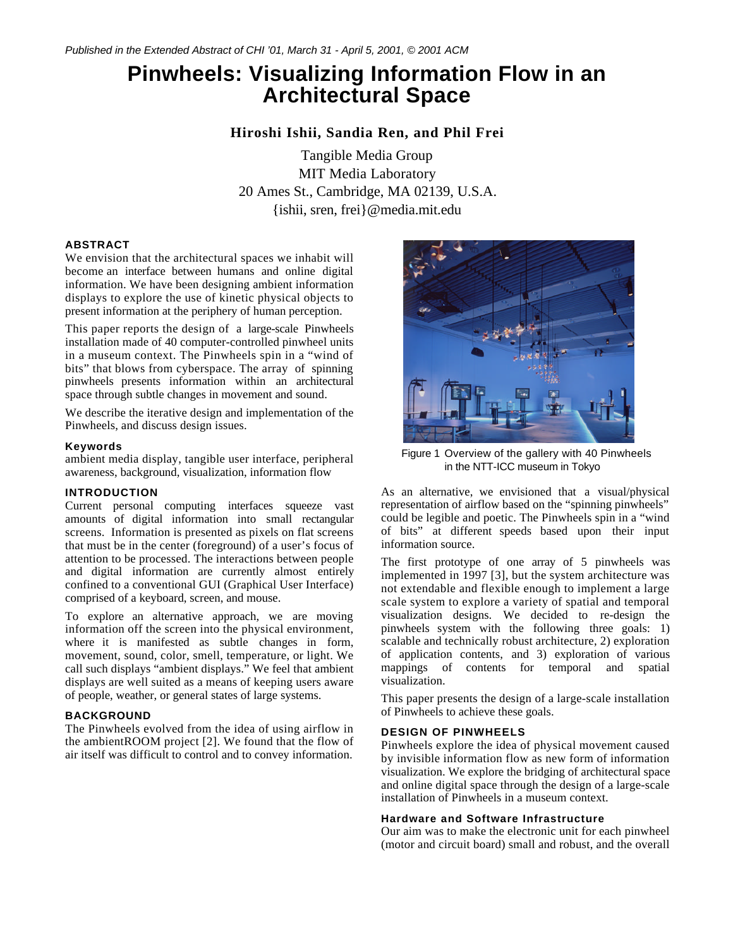# **Pinwheels: Visualizing Information Flow in an Architectural Space**

# **Hiroshi Ishii, Sandia Ren, and Phil Frei**

Tangible Media Group MIT Media Laboratory 20 Ames St., Cambridge, MA 02139, U.S.A. {ishii, sren, frei}@media.mit.edu

# **ABSTRACT**

We envision that the architectural spaces we inhabit will become an interface between humans and online digital information. We have been designing ambient information displays to explore the use of kinetic physical objects to present information at the periphery of human perception.

This paper reports the design of a large-scale Pinwheels installation made of 40 computer-controlled pinwheel units in a museum context. The Pinwheels spin in a "wind of bits" that blows from cyberspace. The array of spinning pinwheels presents information within an architectural space through subtle changes in movement and sound.

We describe the iterative design and implementation of the Pinwheels, and discuss design issues.

## **Keywords**

ambient media display, tangible user interface, peripheral awareness, background, visualization, information flow

## **INTRODUCTION**

Current personal computing interfaces squeeze vast amounts of digital information into small rectangular screens. Information is presented as pixels on flat screens that must be in the center (foreground) of a user's focus of attention to be processed. The interactions between people and digital information are currently almost entirely confined to a conventional GUI (Graphical User Interface) comprised of a keyboard, screen, and mouse.

To explore an alternative approach, we are moving information off the screen into the physical environment, where it is manifested as subtle changes in form, movement, sound, color, smell, temperature, or light. We call such displays "ambient displays." We feel that ambient displays are well suited as a means of keeping users aware of people, weather, or general states of large systems.

# **BACKGROUND**

The Pinwheels evolved from the idea of using airflow in the ambientROOM project [2]. We found that the flow of air itself was difficult to control and to convey information.



Figure 1 Overview of the gallery with 40 Pinwheels in the NTT-ICC museum in Tokyo

As an alternative, we envisioned that a visual/physical representation of airflow based on the "spinning pinwheels" could be legible and poetic. The Pinwheels spin in a "wind of bits" at different speeds based upon their input information source.

The first prototype of one array of 5 pinwheels was implemented in 1997 [3], but the system architecture was not extendable and flexible enough to implement a large scale system to explore a variety of spatial and temporal visualization designs. We decided to re-design the pinwheels system with the following three goals: 1) scalable and technically robust architecture, 2) exploration of application contents, and 3) exploration of various mappings of contents for temporal and spatial visualization.

This paper presents the design of a large-scale installation of Pinwheels to achieve these goals.

# **DESIGN OF PINWHEELS**

Pinwheels explore the idea of physical movement caused by invisible information flow as new form of information visualization. We explore the bridging of architectural space and online digital space through the design of a large-scale installation of Pinwheels in a museum context.

## **Hardware and Software Infrastructure**

Our aim was to make the electronic unit for each pinwheel (motor and circuit board) small and robust, and the overall